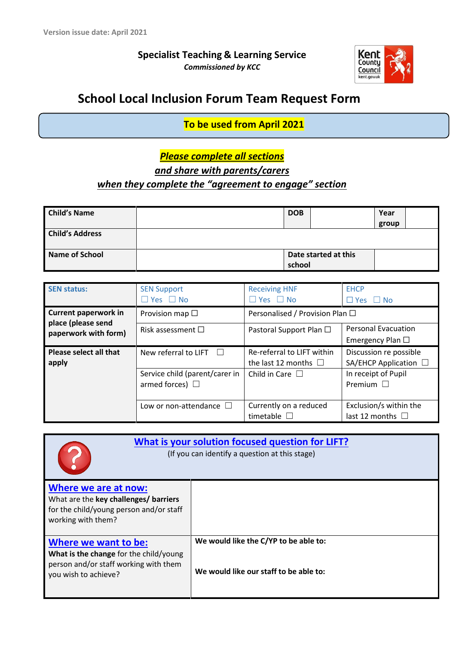**Specialist Teaching & Learning Service** *Commissioned by KCC*



# **School Local Inclusion Forum Team Request Form**

**To be used from April 2021**

# *Please complete all sections*

*and share with parents/carers* 

## *when they complete the "agreement to engage" section*

| <b>Child's Name</b>    | <b>DOB</b> |                      | Year  |  |
|------------------------|------------|----------------------|-------|--|
|                        |            |                      | group |  |
| <b>Child's Address</b> |            |                      |       |  |
| Name of School         |            | Date started at this |       |  |
|                        | school     |                      |       |  |

| <b>SEN status:</b>                         | <b>SEN Support</b><br>$\Box$ Yes $\Box$ No             | <b>Receiving HNF</b><br>$\Box$ Yes $\Box$ No            | <b>EHCP</b><br>$\Box$ Yes $\Box$ No                  |  |
|--------------------------------------------|--------------------------------------------------------|---------------------------------------------------------|------------------------------------------------------|--|
| <b>Current paperwork in</b>                | Provision map $\square$                                | Personalised / Provision Plan $\Box$                    |                                                      |  |
| place (please send<br>paperwork with form) | Risk assessment $\square$                              | Pastoral Support Plan □                                 | <b>Personal Evacuation</b><br>Emergency Plan $\Box$  |  |
| Please select all that<br>apply            | New referral to LIFT $\Box$                            | Re-referral to LIFT within<br>the last 12 months $\Box$ | Discussion re possible<br>SA/EHCP Application $\Box$ |  |
|                                            | Service child (parent/carer in<br>armed forces) $\Box$ | Child in Care $\Box$                                    | In receipt of Pupil<br>Premium $\square$             |  |
|                                            | Low or non-attendance $\Box$                           | Currently on a reduced<br>timetable $\square$           | Exclusion/s within the<br>last 12 months $\Box$      |  |

| What is your solution focused question for LIFT?<br>(If you can identify a question at this stage)      |                                        |  |  |  |
|---------------------------------------------------------------------------------------------------------|----------------------------------------|--|--|--|
| Where we are at now:<br>What are the key challenges/ barriers                                           |                                        |  |  |  |
| for the child/young person and/or staff<br>working with them?                                           |                                        |  |  |  |
| Where we want to be:                                                                                    | We would like the C/YP to be able to:  |  |  |  |
| What is the change for the child/young<br>person and/or staff working with them<br>you wish to achieve? | We would like our staff to be able to: |  |  |  |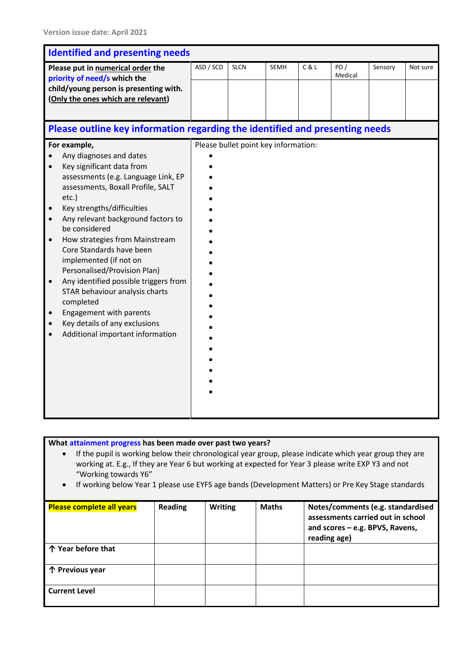| <b>Identified and presenting needs</b>                                                                                                                                                                                                                                                                                                                                                                                                                                                                                                                                                                                                 |           |                                      |      |       |                |         |          |
|----------------------------------------------------------------------------------------------------------------------------------------------------------------------------------------------------------------------------------------------------------------------------------------------------------------------------------------------------------------------------------------------------------------------------------------------------------------------------------------------------------------------------------------------------------------------------------------------------------------------------------------|-----------|--------------------------------------|------|-------|----------------|---------|----------|
| Please put in numerical order the<br>priority of need/s which the<br>child/young person is presenting with.<br>(Only the ones which are relevant)                                                                                                                                                                                                                                                                                                                                                                                                                                                                                      | ASD / SCD | <b>SLCN</b>                          | SEMH | C & L | PD/<br>Medical | Sensory | Not sure |
| Please outline key information regarding the identified and presenting needs                                                                                                                                                                                                                                                                                                                                                                                                                                                                                                                                                           |           |                                      |      |       |                |         |          |
| For example,<br>Any diagnoses and dates<br>Key significant data from<br>$\bullet$<br>assessments (e.g. Language Link, EP<br>assessments, Boxall Profile, SALT<br>etc.)<br>Key strengths/difficulties<br>Any relevant background factors to<br>$\bullet$<br>be considered<br>How strategies from Mainstream<br>$\bullet$<br>Core Standards have been<br>implemented (if not on<br>Personalised/Provision Plan)<br>Any identified possible triggers from<br>$\bullet$<br>STAR behaviour analysis charts<br>completed<br><b>Engagement with parents</b><br>$\bullet$<br>Key details of any exclusions<br>Additional important information |           | Please bullet point key information: |      |       |                |         |          |

- If the pupil is working below their chronological year group, please indicate which year group they are working at. E.g., If they are Year 6 but working at expected for Year 3 please write EXP Y3 and not "Working towards Y6"
- If working below Year 1 please use EYFS age bands (Development Matters) or Pre Key Stage standards

| <b>Please complete all years</b> | <b>Reading</b> | <b>Writing</b> | <b>Maths</b> | Notes/comments (e.g. standardised<br>assessments carried out in school<br>and scores - e.g. BPVS, Ravens,<br>reading age) |
|----------------------------------|----------------|----------------|--------------|---------------------------------------------------------------------------------------------------------------------------|
| 个 Year before that               |                |                |              |                                                                                                                           |
| 个 Previous year                  |                |                |              |                                                                                                                           |
| <b>Current Level</b>             |                |                |              |                                                                                                                           |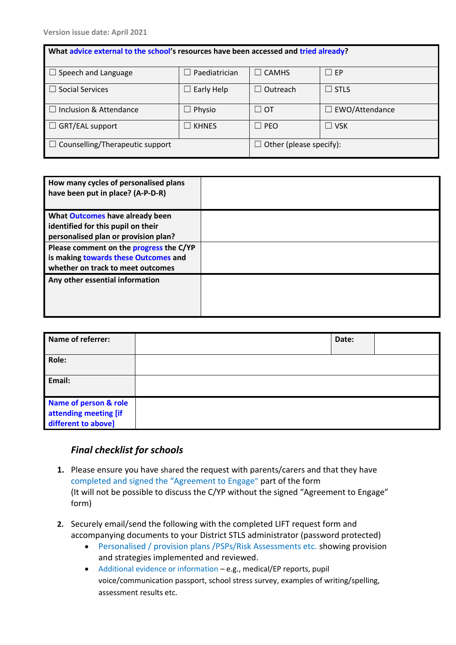| What advice external to the school's resources have been accessed and tried already? |                      |                                      |                       |  |  |  |
|--------------------------------------------------------------------------------------|----------------------|--------------------------------------|-----------------------|--|--|--|
| $\Box$ Speech and Language                                                           | Paediatrician        | <b>CAMHS</b><br>$\perp$              | $\square$ EP          |  |  |  |
| <b>Social Services</b>                                                               | Early Help<br>$\Box$ | Outreach<br>$\overline{\phantom{0}}$ | $\Box$ STLS           |  |  |  |
| $\Box$ Inclusion & Attendance                                                        | $\Box$ Physio        | $\Box$ ot                            | $\Box$ EWO/Attendance |  |  |  |
| $\Box$ GRT/EAL support                                                               | $\Box$ khnes         | <b>PEO</b><br>$\perp$                | $\square$ vsk         |  |  |  |
| Other (please specify):<br>$\Box$ Counselling/Therapeutic support                    |                      |                                      |                       |  |  |  |

| How many cycles of personalised plans<br>have been put in place? (A-P-D-R) |  |
|----------------------------------------------------------------------------|--|
| What Outcomes have already been                                            |  |
| identified for this pupil on their                                         |  |
| personalised plan or provision plan?                                       |  |
| Please comment on the progress the C/YP                                    |  |
| is making towards these Outcomes and                                       |  |
| whether on track to meet outcomes                                          |  |
| Any other essential information                                            |  |
|                                                                            |  |
|                                                                            |  |
|                                                                            |  |

| <b>Name of referrer:</b>                                              | Date: |  |
|-----------------------------------------------------------------------|-------|--|
| Role:                                                                 |       |  |
| Email:                                                                |       |  |
| Name of person & role<br>attending meeting [if<br>different to above] |       |  |

### *Final checklist for schools*

- **1.** Please ensure you have shared the request with parents/carers and that they have completed and signed the "Agreement to Engage" part of the form (It will not be possible to discuss the C/YP without the signed "Agreement to Engage" form)
- **2.** Securely email/send the following with the completed LIFT request form and accompanying documents to your District STLS administrator (password protected)
	- Personalised / provision plans /PSPs/Risk Assessments etc. showing provision and strategies implemented and reviewed.
	- Additional evidence or information e.g., medical/EP reports, pupil voice/communication passport, school stress survey, examples of writing/spelling, assessment results etc.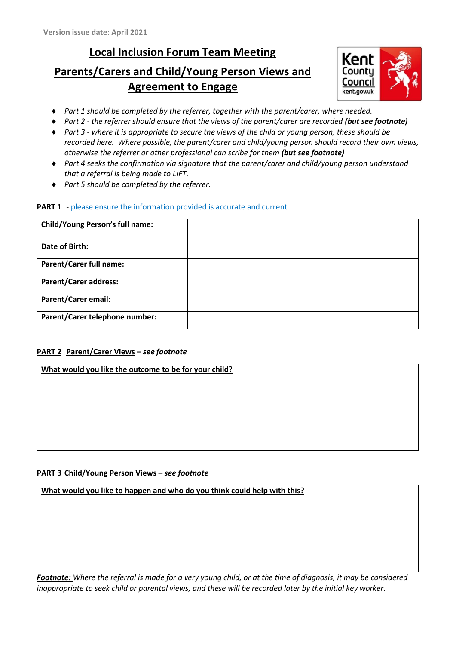## **Local Inclusion Forum Team Meeting**

# **Parents/Carers and Child/Young Person Views and Agreement to Engage**



- *Part 1 should be completed by the referrer, together with the parent/carer, where needed.*
- ◆ Part 2 *the referrer should ensure that the views of the parent/carer are recorded (but see footnote)*
- *Part 3 - where it is appropriate to secure the views of the child or young person, these should be recorded here. Where possible, the parent/carer and child/young person should record their own views, otherwise the referrer or other professional can scribe for them (but see footnote)*
- *Part 4 seeks the confirmation via signature that the parent/carer and child/young person understand that a referral is being made to LIFT*.
- *Part 5 should be completed by the referrer.*

#### **PART 1** - please ensure the information provided is accurate and current

| <b>Child/Young Person's full name:</b> |  |
|----------------------------------------|--|
| Date of Birth:                         |  |
| <b>Parent/Carer full name:</b>         |  |
| <b>Parent/Carer address:</b>           |  |
| <b>Parent/Carer email:</b>             |  |
| Parent/Carer telephone number:         |  |

#### **PART 2 Parent/Carer Views –** *see footnote*

#### **What would you like the outcome to be for your child?**

#### **PART 3 Child/Young Person Views –** *see footnote*

**What would you like to happen and who do you think could help with this?**

*Footnote: Where the referral is made for a very young child, or at the time of diagnosis, it may be considered inappropriate to seek child or parental views, and these will be recorded later by the initial key worker.*